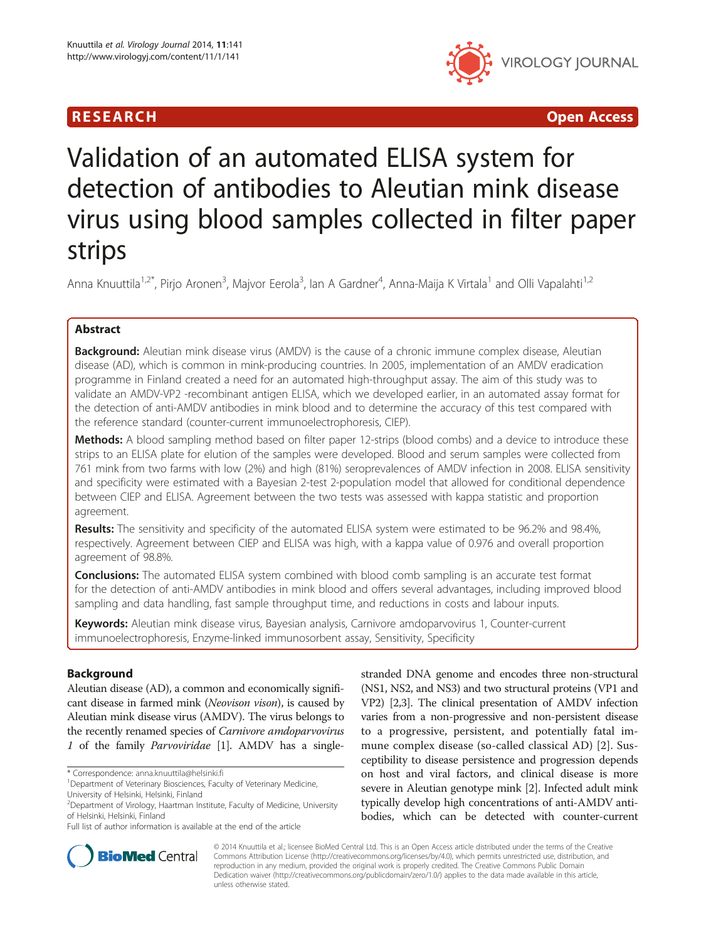



# Validation of an automated ELISA system for detection of antibodies to Aleutian mink disease virus using blood samples collected in filter paper strips

Anna Knuuttila<sup>1,2\*</sup>, Pirjo Aronen<sup>3</sup>, Majvor Eerola<sup>3</sup>, Ian A Gardner<sup>4</sup>, Anna-Maija K Virtala<sup>1</sup> and Olli Vapalahti<sup>1,2</sup>

## Abstract

**Background:** Aleutian mink disease virus (AMDV) is the cause of a chronic immune complex disease, Aleutian disease (AD), which is common in mink-producing countries. In 2005, implementation of an AMDV eradication programme in Finland created a need for an automated high-throughput assay. The aim of this study was to validate an AMDV-VP2 -recombinant antigen ELISA, which we developed earlier, in an automated assay format for the detection of anti-AMDV antibodies in mink blood and to determine the accuracy of this test compared with the reference standard (counter-current immunoelectrophoresis, CIEP).

Methods: A blood sampling method based on filter paper 12-strips (blood combs) and a device to introduce these strips to an ELISA plate for elution of the samples were developed. Blood and serum samples were collected from 761 mink from two farms with low (2%) and high (81%) seroprevalences of AMDV infection in 2008. ELISA sensitivity and specificity were estimated with a Bayesian 2-test 2-population model that allowed for conditional dependence between CIEP and ELISA. Agreement between the two tests was assessed with kappa statistic and proportion agreement.

Results: The sensitivity and specificity of the automated ELISA system were estimated to be 96.2% and 98.4%, respectively. Agreement between CIEP and ELISA was high, with a kappa value of 0.976 and overall proportion agreement of 98.8%.

**Conclusions:** The automated ELISA system combined with blood comb sampling is an accurate test format for the detection of anti-AMDV antibodies in mink blood and offers several advantages, including improved blood sampling and data handling, fast sample throughput time, and reductions in costs and labour inputs.

Keywords: Aleutian mink disease virus, Bayesian analysis, Carnivore amdoparvovirus 1, Counter-current immunoelectrophoresis, Enzyme-linked immunosorbent assay, Sensitivity, Specificity

## Background

Aleutian disease (AD), a common and economically significant disease in farmed mink (Neovison vison), is caused by Aleutian mink disease virus (AMDV). The virus belongs to the recently renamed species of Carnivore amdoparvovirus 1 of the family Parvoviridae [\[1\]](#page-9-0). AMDV has a single-

\* Correspondence: [anna.knuuttila@helsinki.fi](mailto:anna.knuuttila@helsinki.fi) <sup>1</sup>

stranded DNA genome and encodes three non-structural (NS1, NS2, and NS3) and two structural proteins (VP1 and VP2) [[2,3](#page-9-0)]. The clinical presentation of AMDV infection varies from a non-progressive and non-persistent disease to a progressive, persistent, and potentially fatal immune complex disease (so-called classical AD) [[2\]](#page-9-0). Susceptibility to disease persistence and progression depends on host and viral factors, and clinical disease is more severe in Aleutian genotype mink [\[2](#page-9-0)]. Infected adult mink typically develop high concentrations of anti-AMDV antibodies, which can be detected with counter-current



© 2014 Knuuttila et al.; licensee BioMed Central Ltd. This is an Open Access article distributed under the terms of the Creative Commons Attribution License [\(http://creativecommons.org/licenses/by/4.0\)](http://creativecommons.org/licenses/by/4.0), which permits unrestricted use, distribution, and reproduction in any medium, provided the original work is properly credited. The Creative Commons Public Domain Dedication waiver [\(http://creativecommons.org/publicdomain/zero/1.0/](http://creativecommons.org/publicdomain/zero/1.0/)) applies to the data made available in this article, unless otherwise stated.

<sup>&</sup>lt;sup>1</sup>Department of Veterinary Biosciences, Faculty of Veterinary Medicine, University of Helsinki, Helsinki, Finland

<sup>2</sup> Department of Virology, Haartman Institute, Faculty of Medicine, University of Helsinki, Helsinki, Finland

Full list of author information is available at the end of the article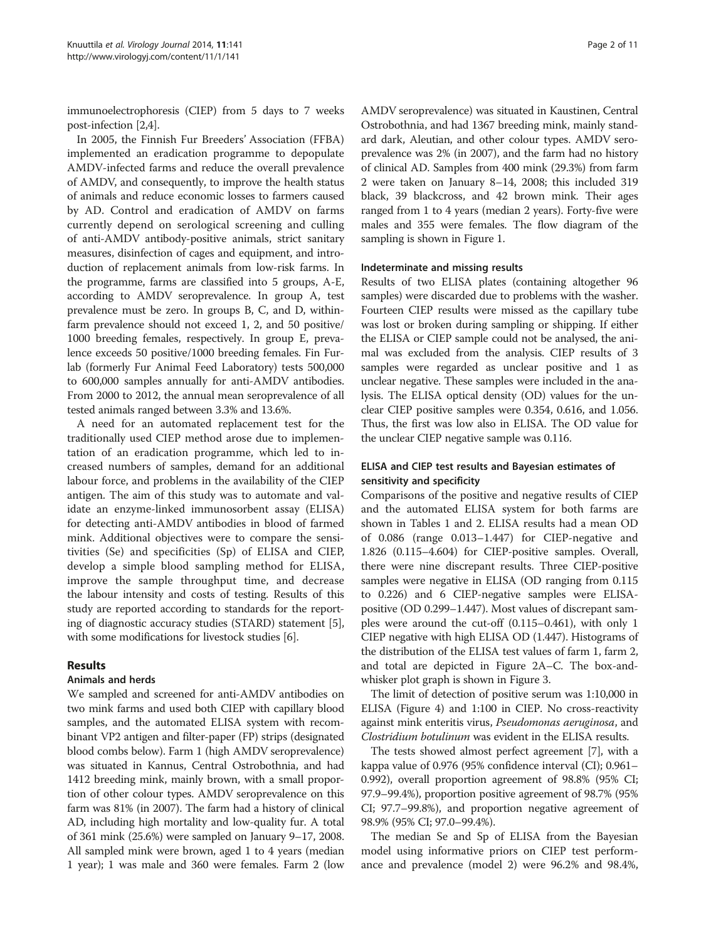immunoelectrophoresis (CIEP) from 5 days to 7 weeks post-infection [[2,4](#page-9-0)].

In 2005, the Finnish Fur Breeders' Association (FFBA) implemented an eradication programme to depopulate AMDV-infected farms and reduce the overall prevalence of AMDV, and consequently, to improve the health status of animals and reduce economic losses to farmers caused by AD. Control and eradication of AMDV on farms currently depend on serological screening and culling of anti-AMDV antibody-positive animals, strict sanitary measures, disinfection of cages and equipment, and introduction of replacement animals from low-risk farms. In the programme, farms are classified into 5 groups, A-E, according to AMDV seroprevalence. In group A, test prevalence must be zero. In groups B, C, and D, withinfarm prevalence should not exceed 1, 2, and 50 positive/ 1000 breeding females, respectively. In group E, prevalence exceeds 50 positive/1000 breeding females. Fin Furlab (formerly Fur Animal Feed Laboratory) tests 500,000 to 600,000 samples annually for anti-AMDV antibodies. From 2000 to 2012, the annual mean seroprevalence of all tested animals ranged between 3.3% and 13.6%.

A need for an automated replacement test for the traditionally used CIEP method arose due to implementation of an eradication programme, which led to increased numbers of samples, demand for an additional labour force, and problems in the availability of the CIEP antigen. The aim of this study was to automate and validate an enzyme-linked immunosorbent assay (ELISA) for detecting anti-AMDV antibodies in blood of farmed mink. Additional objectives were to compare the sensitivities (Se) and specificities (Sp) of ELISA and CIEP, develop a simple blood sampling method for ELISA, improve the sample throughput time, and decrease the labour intensity and costs of testing. Results of this study are reported according to standards for the reporting of diagnostic accuracy studies (STARD) statement [[5](#page-9-0)], with some modifications for livestock studies [\[6\]](#page-9-0).

## Results

#### Animals and herds

We sampled and screened for anti-AMDV antibodies on two mink farms and used both CIEP with capillary blood samples, and the automated ELISA system with recombinant VP2 antigen and filter-paper (FP) strips (designated blood combs below). Farm 1 (high AMDV seroprevalence) was situated in Kannus, Central Ostrobothnia, and had 1412 breeding mink, mainly brown, with a small proportion of other colour types. AMDV seroprevalence on this farm was 81% (in 2007). The farm had a history of clinical AD, including high mortality and low-quality fur. A total of 361 mink (25.6%) were sampled on January 9–17, 2008. All sampled mink were brown, aged 1 to 4 years (median 1 year); 1 was male and 360 were females. Farm 2 (low

AMDV seroprevalence) was situated in Kaustinen, Central Ostrobothnia, and had 1367 breeding mink, mainly standard dark, Aleutian, and other colour types. AMDV seroprevalence was 2% (in 2007), and the farm had no history of clinical AD. Samples from 400 mink (29.3%) from farm 2 were taken on January 8–14, 2008; this included 319 black, 39 blackcross, and 42 brown mink. Their ages ranged from 1 to 4 years (median 2 years). Forty-five were males and 355 were females. The flow diagram of the sampling is shown in Figure [1](#page-2-0).

#### Indeterminate and missing results

Results of two ELISA plates (containing altogether 96 samples) were discarded due to problems with the washer. Fourteen CIEP results were missed as the capillary tube was lost or broken during sampling or shipping. If either the ELISA or CIEP sample could not be analysed, the animal was excluded from the analysis. CIEP results of 3 samples were regarded as unclear positive and 1 as unclear negative. These samples were included in the analysis. The ELISA optical density (OD) values for the unclear CIEP positive samples were 0.354, 0.616, and 1.056. Thus, the first was low also in ELISA. The OD value for the unclear CIEP negative sample was 0.116.

## ELISA and CIEP test results and Bayesian estimates of sensitivity and specificity

Comparisons of the positive and negative results of CIEP and the automated ELISA system for both farms are shown in Tables [1](#page-2-0) and [2.](#page-2-0) ELISA results had a mean OD of 0.086 (range 0.013–1.447) for CIEP-negative and 1.826 (0.115–4.604) for CIEP-positive samples. Overall, there were nine discrepant results. Three CIEP-positive samples were negative in ELISA (OD ranging from 0.115 to 0.226) and 6 CIEP-negative samples were ELISApositive (OD 0.299–1.447). Most values of discrepant samples were around the cut-off (0.115–0.461), with only 1 CIEP negative with high ELISA OD (1.447). Histograms of the distribution of the ELISA test values of farm 1, farm 2, and total are depicted in Figure [2](#page-3-0)A–C. The box-andwhisker plot graph is shown in Figure [3.](#page-4-0)

The limit of detection of positive serum was 1:10,000 in ELISA (Figure [4\)](#page-4-0) and 1:100 in CIEP. No cross-reactivity against mink enteritis virus, *Pseudomonas aeruginosa*, and Clostridium botulinum was evident in the ELISA results.

The tests showed almost perfect agreement [\[7\]](#page-9-0), with a kappa value of 0.976 (95% confidence interval (CI); 0.961– 0.992), overall proportion agreement of 98.8% (95% CI; 97.9–99.4%), proportion positive agreement of 98.7% (95% CI; 97.7–99.8%), and proportion negative agreement of 98.9% (95% CI; 97.0–99.4%).

The median Se and Sp of ELISA from the Bayesian model using informative priors on CIEP test performance and prevalence (model 2) were 96.2% and 98.4%,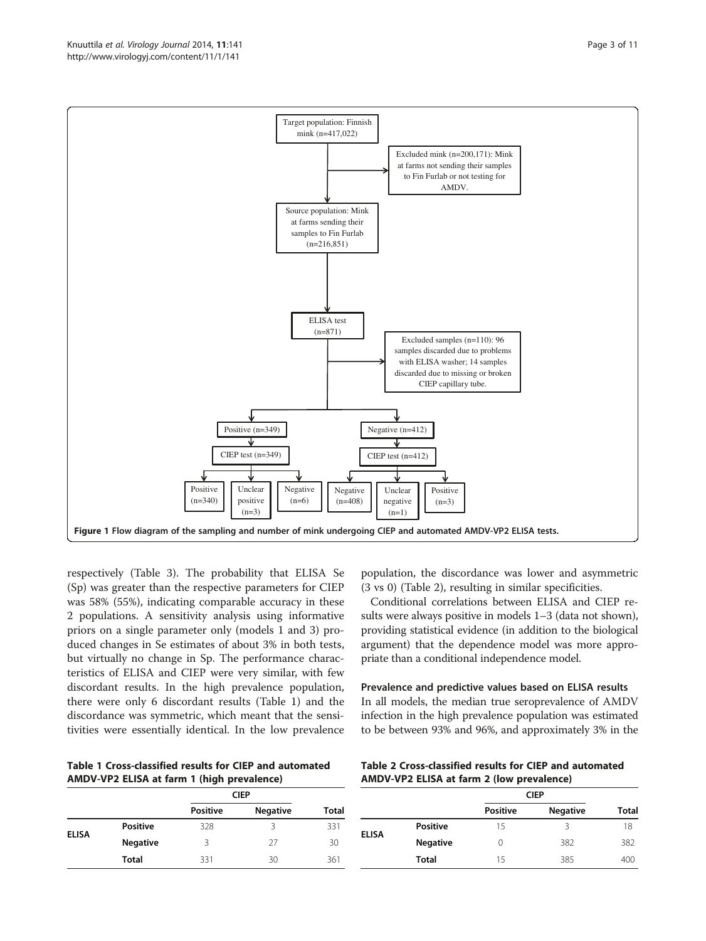<span id="page-2-0"></span>

respectively (Table [3\)](#page-5-0). The probability that ELISA Se (Sp) was greater than the respective parameters for CIEP was 58% (55%), indicating comparable accuracy in these 2 populations. A sensitivity analysis using informative priors on a single parameter only (models 1 and 3) produced changes in Se estimates of about 3% in both tests, but virtually no change in Sp. The performance characteristics of ELISA and CIEP were very similar, with few discordant results. In the high prevalence population, there were only 6 discordant results (Table 1) and the discordance was symmetric, which meant that the sensitivities were essentially identical. In the low prevalence

Table 1 Cross-classified results for CIEP and automated AMDV-VP2 ELISA at farm 1 (high prevalence)

|                 | <b>CIEP</b>     |                 |              |
|-----------------|-----------------|-----------------|--------------|
|                 | <b>Positive</b> | <b>Negative</b> | <b>Total</b> |
| <b>Positive</b> | 328             |                 | 331          |
| <b>Negative</b> | ζ               | 27              | 30           |
| Total           | 331             | 30              | 361          |
|                 |                 |                 |              |

population, the discordance was lower and asymmetric (3 vs 0) (Table 2), resulting in similar specificities.

Conditional correlations between ELISA and CIEP results were always positive in models 1–3 (data not shown), providing statistical evidence (in addition to the biological argument) that the dependence model was more appropriate than a conditional independence model.

## Prevalence and predictive values based on ELISA results In all models, the median true seroprevalence of AMDV infection in the high prevalence population was estimated to be between 93% and 96%, and approximately 3% in the

Table 2 Cross-classified results for CIEP and automated AMDV-VP2 ELISA at farm 2 (low prevalence)

|              |                 | <b>CIEP</b>     |                 |              |
|--------------|-----------------|-----------------|-----------------|--------------|
|              |                 | <b>Positive</b> | <b>Negative</b> | <b>Total</b> |
| <b>ELISA</b> | <b>Positive</b> | 15              | ੨               | 18           |
|              | <b>Negative</b> | 0               | 382             | 382          |
|              | <b>Total</b>    | 15              | 385             | 400          |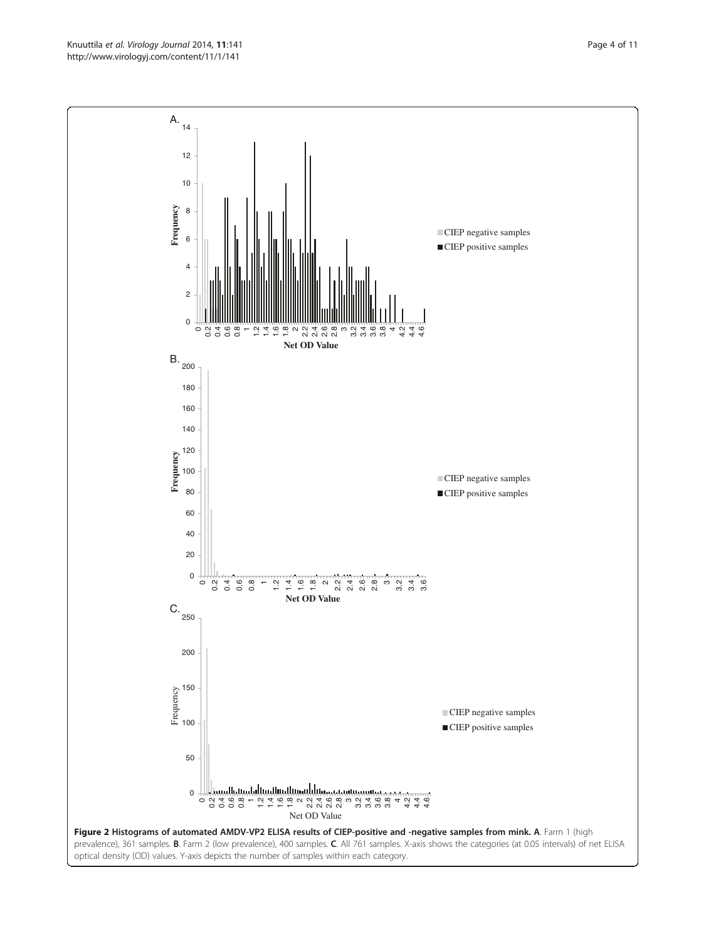<span id="page-3-0"></span>Knuuttila et al. Virology Journal 2014, 11:141 **Page 4 of 11** Page 4 of 11 http://www.virologyj.com/content/11/1/141

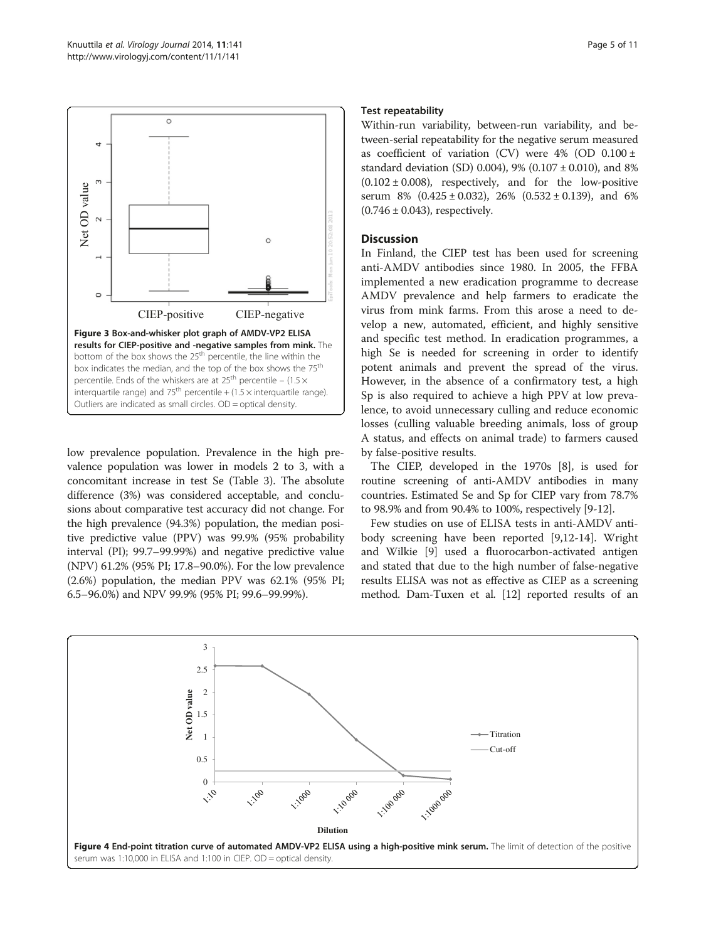<span id="page-4-0"></span>

low prevalence population. Prevalence in the high prevalence population was lower in models 2 to 3, with a concomitant increase in test Se (Table [3](#page-5-0)). The absolute difference (3%) was considered acceptable, and conclusions about comparative test accuracy did not change. For the high prevalence (94.3%) population, the median positive predictive value (PPV) was 99.9% (95% probability interval (PI); 99.7–99.99%) and negative predictive value (NPV) 61.2% (95% PI; 17.8–90.0%). For the low prevalence (2.6%) population, the median PPV was 62.1% (95% PI; 6.5–96.0%) and NPV 99.9% (95% PI; 99.6–99.99%).

#### Test repeatability

Within-run variability, between-run variability, and between-serial repeatability for the negative serum measured as coefficient of variation (CV) were  $4\%$  (OD 0.100 ± standard deviation (SD) 0.004), 9% (0.107 ± 0.010), and 8%  $(0.102 \pm 0.008)$ , respectively, and for the low-positive serum 8%  $(0.425 \pm 0.032)$ , 26%  $(0.532 \pm 0.139)$ , and 6%  $(0.746 \pm 0.043)$ , respectively.

## **Discussion**

In Finland, the CIEP test has been used for screening anti-AMDV antibodies since 1980. In 2005, the FFBA implemented a new eradication programme to decrease AMDV prevalence and help farmers to eradicate the virus from mink farms. From this arose a need to develop a new, automated, efficient, and highly sensitive and specific test method. In eradication programmes, a high Se is needed for screening in order to identify potent animals and prevent the spread of the virus. However, in the absence of a confirmatory test, a high Sp is also required to achieve a high PPV at low prevalence, to avoid unnecessary culling and reduce economic losses (culling valuable breeding animals, loss of group A status, and effects on animal trade) to farmers caused by false-positive results.

The CIEP, developed in the 1970s [\[8](#page-9-0)], is used for routine screening of anti-AMDV antibodies in many countries. Estimated Se and Sp for CIEP vary from 78.7% to 98.9% and from 90.4% to 100%, respectively [[9-12\]](#page-9-0).

Few studies on use of ELISA tests in anti-AMDV antibody screening have been reported [[9,12-14](#page-9-0)]. Wright and Wilkie [\[9](#page-9-0)] used a fluorocarbon-activated antigen and stated that due to the high number of false-negative results ELISA was not as effective as CIEP as a screening method. Dam-Tuxen et al. [[12](#page-9-0)] reported results of an

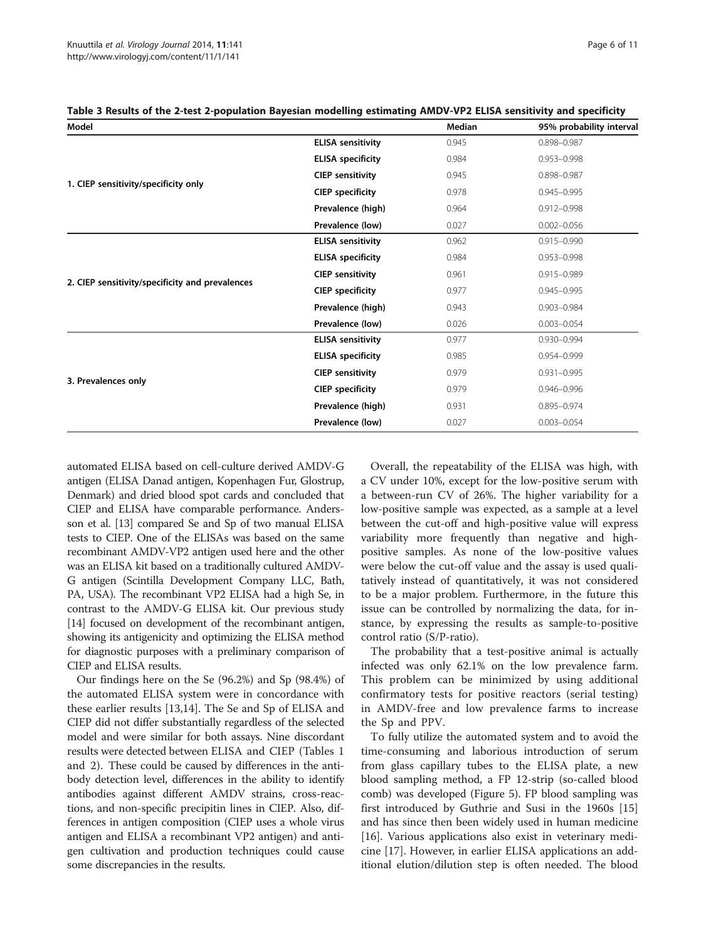| Model                                           |                          | <b>Median</b> | 95% probability interval |
|-------------------------------------------------|--------------------------|---------------|--------------------------|
|                                                 | <b>ELISA</b> sensitivity | 0.945         | 0.898-0.987              |
| 1. CIEP sensitivity/specificity only            | <b>ELISA</b> specificity | 0.984         | $0.953 - 0.998$          |
|                                                 | <b>CIEP sensitivity</b>  | 0.945         | 0.898-0.987              |
|                                                 | <b>CIEP</b> specificity  | 0.978         | $0.945 - 0.995$          |
|                                                 | Prevalence (high)        | 0.964         | $0.912 - 0.998$          |
|                                                 | Prevalence (low)         | 0.027         | $0.002 - 0.056$          |
| 2. CIEP sensitivity/specificity and prevalences | <b>ELISA</b> sensitivity | 0.962         | $0.915 - 0.990$          |
|                                                 | <b>ELISA</b> specificity | 0.984         | 0.953-0.998              |
|                                                 | <b>CIEP sensitivity</b>  | 0.961         | 0.915-0.989              |
|                                                 | <b>CIEP</b> specificity  | 0.977         | $0.945 - 0.995$          |
|                                                 | Prevalence (high)        | 0.943         | $0.903 - 0.984$          |
|                                                 | Prevalence (low)         | 0.026         | $0.003 - 0.054$          |
|                                                 | <b>ELISA</b> sensitivity | 0.977         | 0.930-0.994              |
| 3. Prevalences only                             | <b>ELISA</b> specificity | 0.985         | 0.954-0.999              |
|                                                 | <b>CIEP sensitivity</b>  | 0.979         | $0.931 - 0.995$          |
|                                                 | <b>CIEP</b> specificity  | 0.979         | 0.946-0.996              |
|                                                 | Prevalence (high)        | 0.931         | 0.895-0.974              |
|                                                 | Prevalence (low)         | 0.027         | $0.003 - 0.054$          |

<span id="page-5-0"></span>Table 3 Results of the 2-test 2-population Bayesian modelling estimating AMDV-VP2 ELISA sensitivity and specificity

automated ELISA based on cell-culture derived AMDV-G antigen (ELISA Danad antigen, Kopenhagen Fur, Glostrup, Denmark) and dried blood spot cards and concluded that CIEP and ELISA have comparable performance. Andersson et al. [\[13](#page-9-0)] compared Se and Sp of two manual ELISA tests to CIEP. One of the ELISAs was based on the same recombinant AMDV-VP2 antigen used here and the other was an ELISA kit based on a traditionally cultured AMDV-G antigen (Scintilla Development Company LLC, Bath, PA, USA). The recombinant VP2 ELISA had a high Se, in contrast to the AMDV-G ELISA kit. Our previous study [[14](#page-9-0)] focused on development of the recombinant antigen, showing its antigenicity and optimizing the ELISA method for diagnostic purposes with a preliminary comparison of CIEP and ELISA results.

Our findings here on the Se (96.2%) and Sp (98.4%) of the automated ELISA system were in concordance with these earlier results [\[13,14](#page-9-0)]. The Se and Sp of ELISA and CIEP did not differ substantially regardless of the selected model and were similar for both assays. Nine discordant results were detected between ELISA and CIEP (Tables [1](#page-2-0) and [2](#page-2-0)). These could be caused by differences in the antibody detection level, differences in the ability to identify antibodies against different AMDV strains, cross-reactions, and non-specific precipitin lines in CIEP. Also, differences in antigen composition (CIEP uses a whole virus antigen and ELISA a recombinant VP2 antigen) and antigen cultivation and production techniques could cause some discrepancies in the results.

Overall, the repeatability of the ELISA was high, with a CV under 10%, except for the low-positive serum with a between-run CV of 26%. The higher variability for a low-positive sample was expected, as a sample at a level between the cut-off and high-positive value will express variability more frequently than negative and highpositive samples. As none of the low-positive values were below the cut-off value and the assay is used qualitatively instead of quantitatively, it was not considered to be a major problem. Furthermore, in the future this issue can be controlled by normalizing the data, for instance, by expressing the results as sample-to-positive control ratio (S/P-ratio).

The probability that a test-positive animal is actually infected was only 62.1% on the low prevalence farm. This problem can be minimized by using additional confirmatory tests for positive reactors (serial testing) in AMDV-free and low prevalence farms to increase the Sp and PPV.

To fully utilize the automated system and to avoid the time-consuming and laborious introduction of serum from glass capillary tubes to the ELISA plate, a new blood sampling method, a FP 12-strip (so-called blood comb) was developed (Figure [5](#page-6-0)). FP blood sampling was first introduced by Guthrie and Susi in the 1960s [[15](#page-9-0)] and has since then been widely used in human medicine [[16\]](#page-9-0). Various applications also exist in veterinary medicine [[17](#page-9-0)]. However, in earlier ELISA applications an additional elution/dilution step is often needed. The blood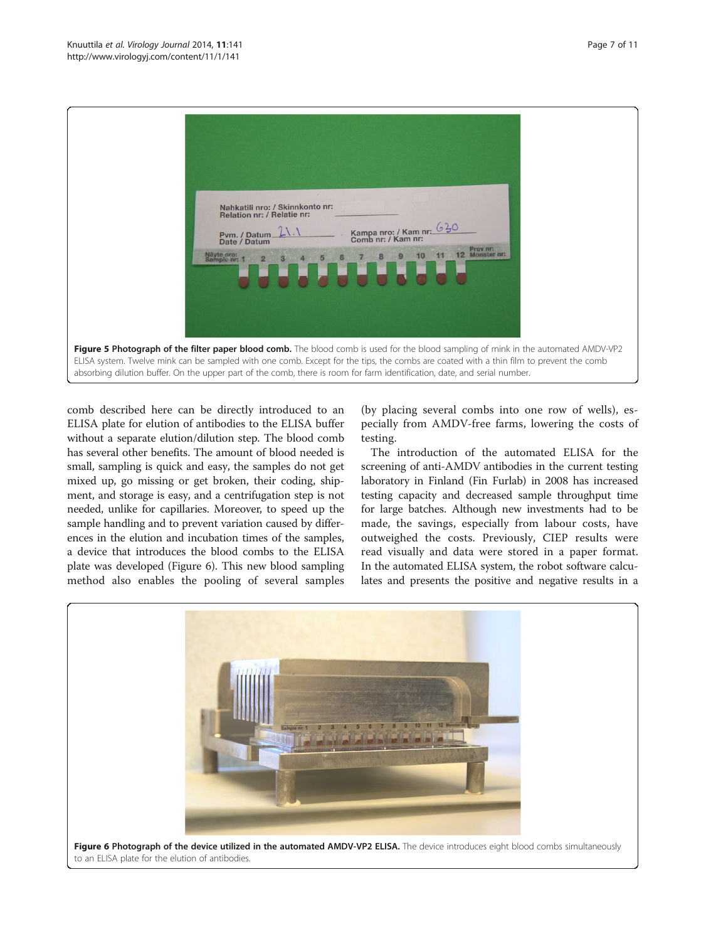<span id="page-6-0"></span>



comb described here can be directly introduced to an ELISA plate for elution of antibodies to the ELISA buffer without a separate elution/dilution step. The blood comb has several other benefits. The amount of blood needed is small, sampling is quick and easy, the samples do not get mixed up, go missing or get broken, their coding, shipment, and storage is easy, and a centrifugation step is not needed, unlike for capillaries. Moreover, to speed up the sample handling and to prevent variation caused by differences in the elution and incubation times of the samples, a device that introduces the blood combs to the ELISA plate was developed (Figure 6). This new blood sampling method also enables the pooling of several samples

(by placing several combs into one row of wells), especially from AMDV-free farms, lowering the costs of testing.

The introduction of the automated ELISA for the screening of anti-AMDV antibodies in the current testing laboratory in Finland (Fin Furlab) in 2008 has increased testing capacity and decreased sample throughput time for large batches. Although new investments had to be made, the savings, especially from labour costs, have outweighed the costs. Previously, CIEP results were read visually and data were stored in a paper format. In the automated ELISA system, the robot software calculates and presents the positive and negative results in a

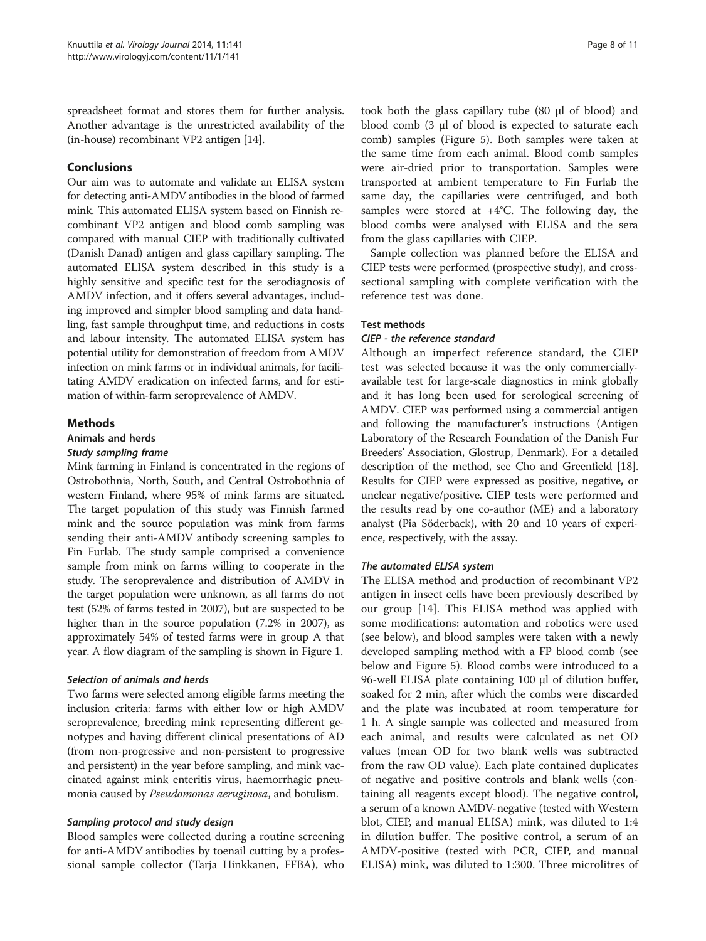spreadsheet format and stores them for further analysis. Another advantage is the unrestricted availability of the (in-house) recombinant VP2 antigen [[14](#page-9-0)].

## Conclusions

Our aim was to automate and validate an ELISA system for detecting anti-AMDV antibodies in the blood of farmed mink. This automated ELISA system based on Finnish recombinant VP2 antigen and blood comb sampling was compared with manual CIEP with traditionally cultivated (Danish Danad) antigen and glass capillary sampling. The automated ELISA system described in this study is a highly sensitive and specific test for the serodiagnosis of AMDV infection, and it offers several advantages, including improved and simpler blood sampling and data handling, fast sample throughput time, and reductions in costs and labour intensity. The automated ELISA system has potential utility for demonstration of freedom from AMDV infection on mink farms or in individual animals, for facilitating AMDV eradication on infected farms, and for estimation of within-farm seroprevalence of AMDV.

## **Methods**

#### Animals and herds

#### Study sampling frame

Mink farming in Finland is concentrated in the regions of Ostrobothnia, North, South, and Central Ostrobothnia of western Finland, where 95% of mink farms are situated. The target population of this study was Finnish farmed mink and the source population was mink from farms sending their anti-AMDV antibody screening samples to Fin Furlab. The study sample comprised a convenience sample from mink on farms willing to cooperate in the study. The seroprevalence and distribution of AMDV in the target population were unknown, as all farms do not test (52% of farms tested in 2007), but are suspected to be higher than in the source population (7.2% in 2007), as approximately 54% of tested farms were in group A that year. A flow diagram of the sampling is shown in Figure [1](#page-2-0).

## Selection of animals and herds

Two farms were selected among eligible farms meeting the inclusion criteria: farms with either low or high AMDV seroprevalence, breeding mink representing different genotypes and having different clinical presentations of AD (from non-progressive and non-persistent to progressive and persistent) in the year before sampling, and mink vaccinated against mink enteritis virus, haemorrhagic pneumonia caused by Pseudomonas aeruginosa, and botulism.

## Sampling protocol and study design

Blood samples were collected during a routine screening for anti-AMDV antibodies by toenail cutting by a professional sample collector (Tarja Hinkkanen, FFBA), who

took both the glass capillary tube (80 μl of blood) and blood comb (3 μl of blood is expected to saturate each comb) samples (Figure [5](#page-6-0)). Both samples were taken at the same time from each animal. Blood comb samples were air-dried prior to transportation. Samples were transported at ambient temperature to Fin Furlab the same day, the capillaries were centrifuged, and both samples were stored at  $+4^{\circ}$ C. The following day, the blood combs were analysed with ELISA and the sera from the glass capillaries with CIEP.

Sample collection was planned before the ELISA and CIEP tests were performed (prospective study), and crosssectional sampling with complete verification with the reference test was done.

#### Test methods

#### CIEP - the reference standard

Although an imperfect reference standard, the CIEP test was selected because it was the only commerciallyavailable test for large-scale diagnostics in mink globally and it has long been used for serological screening of AMDV. CIEP was performed using a commercial antigen and following the manufacturer's instructions (Antigen Laboratory of the Research Foundation of the Danish Fur Breeders' Association, Glostrup, Denmark). For a detailed description of the method, see Cho and Greenfield [[18](#page-9-0)]. Results for CIEP were expressed as positive, negative, or unclear negative/positive. CIEP tests were performed and the results read by one co-author (ME) and a laboratory analyst (Pia Söderback), with 20 and 10 years of experience, respectively, with the assay.

## The automated ELISA system

The ELISA method and production of recombinant VP2 antigen in insect cells have been previously described by our group [[14\]](#page-9-0). This ELISA method was applied with some modifications: automation and robotics were used (see below), and blood samples were taken with a newly developed sampling method with a FP blood comb (see below and Figure [5](#page-6-0)). Blood combs were introduced to a 96-well ELISA plate containing 100 μl of dilution buffer, soaked for 2 min, after which the combs were discarded and the plate was incubated at room temperature for 1 h. A single sample was collected and measured from each animal, and results were calculated as net OD values (mean OD for two blank wells was subtracted from the raw OD value). Each plate contained duplicates of negative and positive controls and blank wells (containing all reagents except blood). The negative control, a serum of a known AMDV-negative (tested with Western blot, CIEP, and manual ELISA) mink, was diluted to 1:4 in dilution buffer. The positive control, a serum of an AMDV-positive (tested with PCR, CIEP, and manual ELISA) mink, was diluted to 1:300. Three microlitres of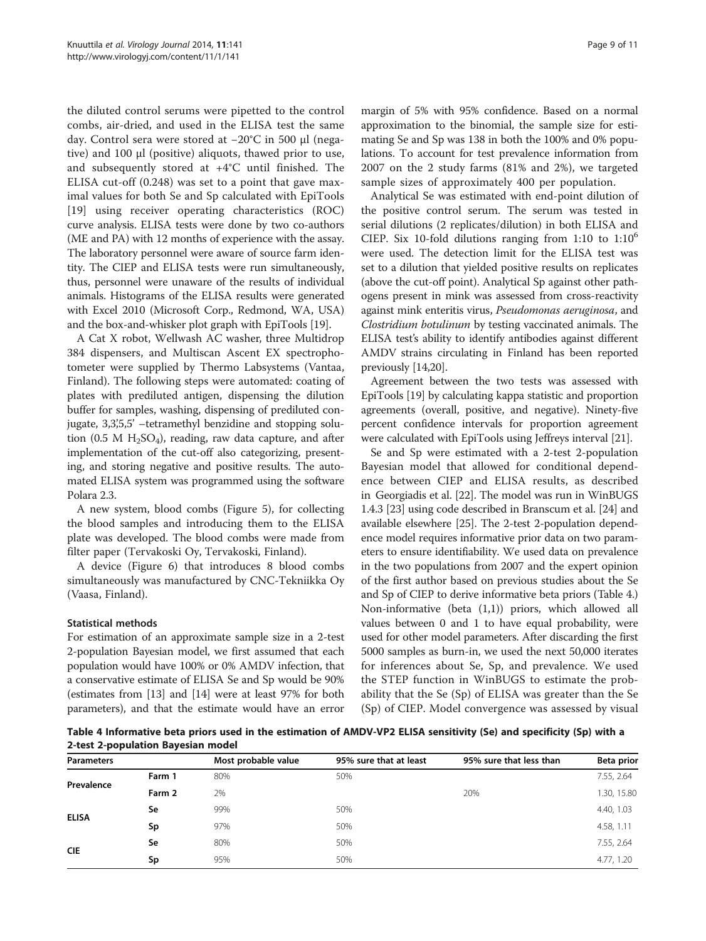the diluted control serums were pipetted to the control combs, air-dried, and used in the ELISA test the same day. Control sera were stored at −20°C in 500 μl (negative) and 100 μl (positive) aliquots, thawed prior to use, and subsequently stored at +4°C until finished. The ELISA cut-off (0.248) was set to a point that gave maximal values for both Se and Sp calculated with EpiTools [[19\]](#page-9-0) using receiver operating characteristics (ROC) curve analysis. ELISA tests were done by two co-authors (ME and PA) with 12 months of experience with the assay. The laboratory personnel were aware of source farm identity. The CIEP and ELISA tests were run simultaneously, thus, personnel were unaware of the results of individual animals. Histograms of the ELISA results were generated with Excel 2010 (Microsoft Corp., Redmond, WA, USA) and the box-and-whisker plot graph with EpiTools [[19](#page-9-0)].

A Cat X robot, Wellwash AC washer, three Multidrop 384 dispensers, and Multiscan Ascent EX spectrophotometer were supplied by Thermo Labsystems (Vantaa, Finland). The following steps were automated: coating of plates with prediluted antigen, dispensing the dilution buffer for samples, washing, dispensing of prediluted conjugate, 3,3,5,5' –tetramethyl benzidine and stopping solution (0.5 M  $H_2SO_4$ ), reading, raw data capture, and after implementation of the cut-off also categorizing, presenting, and storing negative and positive results. The automated ELISA system was programmed using the software Polara 2.3.

A new system, blood combs (Figure [5](#page-6-0)), for collecting the blood samples and introducing them to the ELISA plate was developed. The blood combs were made from filter paper (Tervakoski Oy, Tervakoski, Finland).

A device (Figure [6](#page-6-0)) that introduces 8 blood combs simultaneously was manufactured by CNC-Tekniikka Oy (Vaasa, Finland).

## Statistical methods

For estimation of an approximate sample size in a 2-test 2-population Bayesian model, we first assumed that each population would have 100% or 0% AMDV infection, that a conservative estimate of ELISA Se and Sp would be 90% (estimates from [[13](#page-9-0)] and [[14\]](#page-9-0) were at least 97% for both parameters), and that the estimate would have an error

margin of 5% with 95% confidence. Based on a normal approximation to the binomial, the sample size for estimating Se and Sp was 138 in both the 100% and 0% populations. To account for test prevalence information from 2007 on the 2 study farms (81% and 2%), we targeted sample sizes of approximately 400 per population.

Analytical Se was estimated with end-point dilution of the positive control serum. The serum was tested in serial dilutions (2 replicates/dilution) in both ELISA and CIEP. Six 10-fold dilutions ranging from 1:10 to  $1:10^6$ were used. The detection limit for the ELISA test was set to a dilution that yielded positive results on replicates (above the cut-off point). Analytical Sp against other pathogens present in mink was assessed from cross-reactivity against mink enteritis virus, Pseudomonas aeruginosa, and Clostridium botulinum by testing vaccinated animals. The ELISA test's ability to identify antibodies against different AMDV strains circulating in Finland has been reported previously [\[14,20](#page-9-0)].

Agreement between the two tests was assessed with EpiTools [\[19\]](#page-9-0) by calculating kappa statistic and proportion agreements (overall, positive, and negative). Ninety-five percent confidence intervals for proportion agreement were calculated with EpiTools using Jeffreys interval [[21](#page-9-0)].

Se and Sp were estimated with a 2-test 2-population Bayesian model that allowed for conditional dependence between CIEP and ELISA results, as described in Georgiadis et al. [\[22\]](#page-9-0). The model was run in WinBUGS 1.4.3 [\[23\]](#page-10-0) using code described in Branscum et al. [\[24](#page-10-0)] and available elsewhere [\[25](#page-10-0)]. The 2-test 2-population dependence model requires informative prior data on two parameters to ensure identifiability. We used data on prevalence in the two populations from 2007 and the expert opinion of the first author based on previous studies about the Se and Sp of CIEP to derive informative beta priors (Table 4.) Non-informative (beta (1,1)) priors, which allowed all values between 0 and 1 to have equal probability, were used for other model parameters. After discarding the first 5000 samples as burn-in, we used the next 50,000 iterates for inferences about Se, Sp, and prevalence. We used the STEP function in WinBUGS to estimate the probability that the Se (Sp) of ELISA was greater than the Se (Sp) of CIEP. Model convergence was assessed by visual

Table 4 Informative beta priors used in the estimation of AMDV-VP2 ELISA sensitivity (Se) and specificity (Sp) with a 2-test 2-population Bayesian model

| <b>Parameters</b> |        | Most probable value | 95% sure that at least | 95% sure that less than | Beta prior  |
|-------------------|--------|---------------------|------------------------|-------------------------|-------------|
| Prevalence        | Farm 1 | 80%                 | 50%                    |                         | 7.55, 2.64  |
|                   | Farm 2 | 2%                  |                        | 20%                     | 1.30, 15.80 |
| <b>ELISA</b>      | Se     | 99%                 | 50%                    |                         | 4.40, 1.03  |
|                   | Sp     | 97%                 | 50%                    |                         | 4.58, 1.11  |
| <b>CIE</b>        | Se     | 80%                 | 50%                    |                         | 7.55, 2.64  |
|                   | Sp     | 95%                 | 50%                    |                         | 4.77, 1.20  |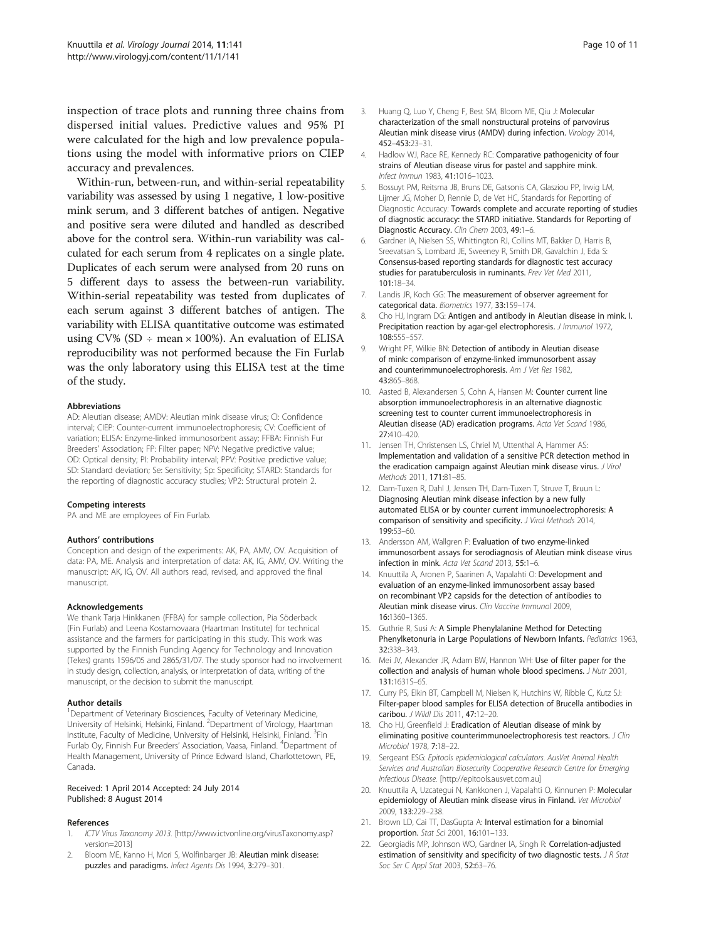<span id="page-9-0"></span>inspection of trace plots and running three chains from dispersed initial values. Predictive values and 95% PI were calculated for the high and low prevalence populations using the model with informative priors on CIEP accuracy and prevalences.

Within-run, between-run, and within-serial repeatability variability was assessed by using 1 negative, 1 low-positive mink serum, and 3 different batches of antigen. Negative and positive sera were diluted and handled as described above for the control sera. Within-run variability was calculated for each serum from 4 replicates on a single plate. Duplicates of each serum were analysed from 20 runs on 5 different days to assess the between-run variability. Within-serial repeatability was tested from duplicates of each serum against 3 different batches of antigen. The variability with ELISA quantitative outcome was estimated using CV% (SD  $\div$  mean  $\times$  100%). An evaluation of ELISA reproducibility was not performed because the Fin Furlab was the only laboratory using this ELISA test at the time of the study.

#### Abbreviations

AD: Aleutian disease; AMDV: Aleutian mink disease virus; CI: Confidence interval; CIEP: Counter-current immunoelectrophoresis; CV: Coefficient of variation; ELISA: Enzyme-linked immunosorbent assay; FFBA: Finnish Fur Breeders' Association; FP: Filter paper; NPV: Negative predictive value; OD: Optical density; PI: Probability interval; PPV: Positive predictive value; SD: Standard deviation; Se: Sensitivity; Sp: Specificity; STARD: Standards for the reporting of diagnostic accuracy studies; VP2: Structural protein 2.

#### Competing interests

PA and ME are employees of Fin Furlab.

#### Authors' contributions

Conception and design of the experiments: AK, PA, AMV, OV. Acquisition of data: PA, ME. Analysis and interpretation of data: AK, IG, AMV, OV. Writing the manuscript: AK, IG, OV. All authors read, revised, and approved the final manuscript.

#### Acknowledgements

We thank Tarja Hinkkanen (FFBA) for sample collection, Pia Söderback (Fin Furlab) and Leena Kostamovaara (Haartman Institute) for technical assistance and the farmers for participating in this study. This work was supported by the Finnish Funding Agency for Technology and Innovation (Tekes) grants 1596/05 and 2865/31/07. The study sponsor had no involvement in study design, collection, analysis, or interpretation of data, writing of the manuscript, or the decision to submit the manuscript.

#### Author details

<sup>1</sup>Department of Veterinary Biosciences, Faculty of Veterinary Medicine, University of Helsinki, Helsinki, Finland. <sup>2</sup> Department of Virology, Haartman Institute, Faculty of Medicine, University of Helsinki, Helsinki, Finland. <sup>3</sup>Fin Furlab Oy, Finnish Fur Breeders' Association, Vaasa, Finland. <sup>4</sup> Department of Health Management, University of Prince Edward Island, Charlottetown, PE, Canada.

#### Received: 1 April 2014 Accepted: 24 July 2014 Published: 8 August 2014

#### References

- 1. ICTV Virus Taxonomy 2013. [\[http://www.ictvonline.org/virusTaxonomy.asp?](http://www.ictvonline.org/virusTaxonomy.asp?version=2013) [version=2013\]](http://www.ictvonline.org/virusTaxonomy.asp?version=2013)
- 2. Bloom ME, Kanno H, Mori S, Wolfinbarger JB: Aleutian mink disease: puzzles and paradigms. Infect Agents Dis 1994, 3:279–301.
- 3. Huang Q, Luo Y, Cheng F, Best SM, Bloom ME, Qiu J: Molecular characterization of the small nonstructural proteins of parvovirus Aleutian mink disease virus (AMDV) during infection. Virology 2014, 452–453:23–31.
- 4. Hadlow WJ, Race RE, Kennedy RC: Comparative pathogenicity of four strains of Aleutian disease virus for pastel and sapphire mink. Infect Immun 1983, 41:1016–1023.
- 5. Bossuyt PM, Reitsma JB, Bruns DE, Gatsonis CA, Glasziou PP, Irwig LM, Lijmer JG, Moher D, Rennie D, de Vet HC, Standards for Reporting of Diagnostic Accuracy: Towards complete and accurate reporting of studies of diagnostic accuracy: the STARD initiative. Standards for Reporting of Diagnostic Accuracy. Clin Chem 2003, 49:1-6.
- 6. Gardner IA, Nielsen SS, Whittington RJ, Collins MT, Bakker D, Harris B, Sreevatsan S, Lombard JE, Sweeney R, Smith DR, Gavalchin J, Eda S: Consensus-based reporting standards for diagnostic test accuracy studies for paratuberculosis in ruminants. Prev Vet Med 2011, 101:18–34.
- 7. Landis JR, Koch GG: The measurement of observer agreement for categorical data. Biometrics 1977, 33:159–174.
- 8. Cho HJ, Ingram DG: Antigen and antibody in Aleutian disease in mink. I. Precipitation reaction by agar-gel electrophoresis. J Immunol 1972, 108:555–557.
- 9. Wright PF, Wilkie BN: Detection of antibody in Aleutian disease of mink: comparison of enzyme-linked immunosorbent assay and counterimmunoelectrophoresis. Am J Vet Res 1982, 43:865–868.
- 10. Aasted B, Alexandersen S, Cohn A, Hansen M: Counter current line absorption immunoelectrophoresis in an alternative diagnostic screening test to counter current immunoelectrophoresis in Aleutian disease (AD) eradication programs. Acta Vet Scand 1986, 27:410–420.
- 11. Jensen TH, Christensen LS, Chriel M, Uttenthal A, Hammer AS: Implementation and validation of a sensitive PCR detection method in the eradication campaign against Aleutian mink disease virus. J Virol Methods 2011, 171:81–85.
- 12. Dam-Tuxen R, Dahl J, Jensen TH, Dam-Tuxen T, Struve T, Bruun L: Diagnosing Aleutian mink disease infection by a new fully automated ELISA or by counter current immunoelectrophoresis: A comparison of sensitivity and specificity. J Virol Methods 2014, 199:53–60.
- 13. Andersson AM, Wallgren P: Evaluation of two enzyme-linked immunosorbent assays for serodiagnosis of Aleutian mink disease virus infection in mink. Acta Vet Scand 2013, 55:1–6.
- 14. Knuuttila A, Aronen P, Saarinen A, Vapalahti O: Development and evaluation of an enzyme-linked immunosorbent assay based on recombinant VP2 capsids for the detection of antibodies to Aleutian mink disease virus. Clin Vaccine Immunol 2009, 16:1360–1365.
- 15. Guthrie R, Susi A: A Simple Phenylalanine Method for Detecting Phenylketonuria in Large Populations of Newborn Infants. Pediatrics 1963, 32:338–343.
- 16. Mei JV, Alexander JR, Adam BW, Hannon WH: Use of filter paper for the collection and analysis of human whole blood specimens. J Nutr 2001, 131:1631S–6S.
- 17. Curry PS, Elkin BT, Campbell M, Nielsen K, Hutchins W, Ribble C, Kutz SJ: Filter-paper blood samples for ELISA detection of Brucella antibodies in caribou. J Wildl Dis 2011, 47:12–20.
- 18. Cho HJ, Greenfield J: Eradication of Aleutian disease of mink by eliminating positive counterimmunoelectrophoresis test reactors. J Clin Microbiol 1978, 7:18–22.
- 19. Sergeant ESG: Epitools epidemiological calculators. AusVet Animal Health Services and Australian Biosecurity Cooperative Research Centre for Emerging Infectious Disease. [\[http://epitools.ausvet.com.au](http://epitools.ausvet.com.au)]
- 20. Knuuttila A, Uzcategui N, Kankkonen J, Vapalahti O, Kinnunen P: Molecular epidemiology of Aleutian mink disease virus in Finland. Vet Microbiol 2009, 133:229–238.
- 21. Brown LD, Cai TT, DasGupta A: Interval estimation for a binomial proportion. Stat Sci 2001, 16:101–133.
- 22. Georgiadis MP, Johnson WO, Gardner IA, Singh R: Correlation-adjusted estimation of sensitivity and specificity of two diagnostic tests. J R Stat Soc Ser C Appl Stat 2003, 52:63-76.